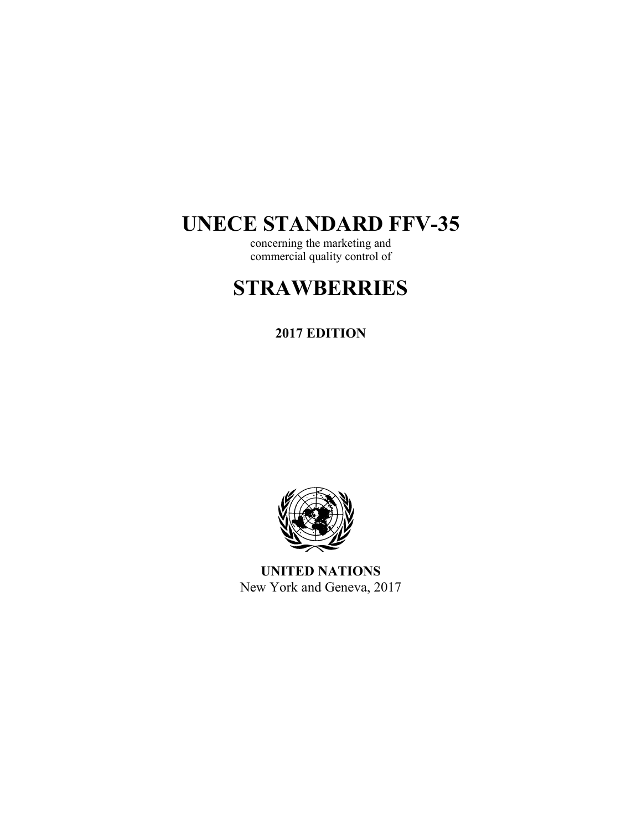# **UNECE STANDARD FFV-35**

concerning the marketing and commercial quality control of

# **STRAWBERRIES**

# **2017 EDITION**



**UNITED NATIONS**  New York and Geneva, 2017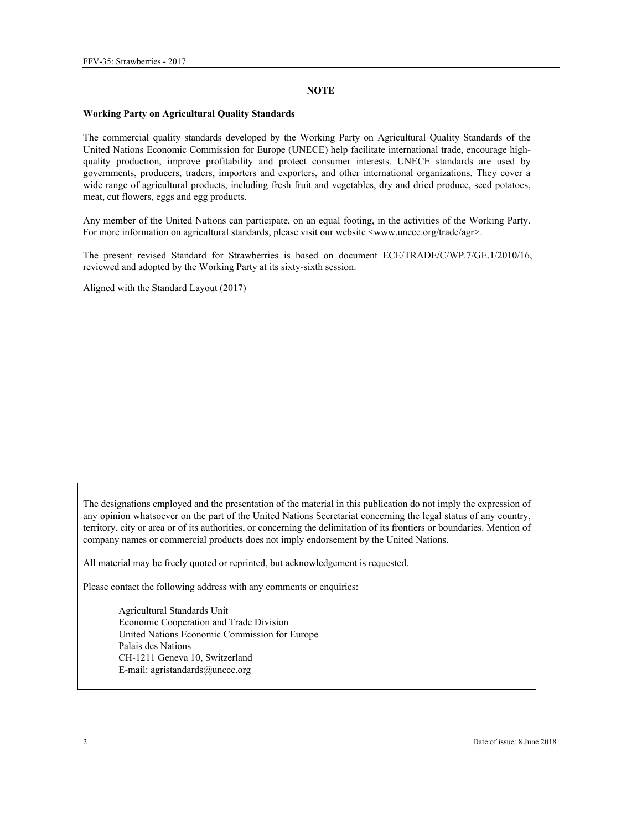#### **NOTE**

#### **Working Party on Agricultural Quality Standards**

The commercial quality standards developed by the Working Party on Agricultural Quality Standards of the United Nations Economic Commission for Europe (UNECE) help facilitate international trade, encourage highquality production, improve profitability and protect consumer interests. UNECE standards are used by governments, producers, traders, importers and exporters, and other international organizations. They cover a wide range of agricultural products, including fresh fruit and vegetables, dry and dried produce, seed potatoes, meat, cut flowers, eggs and egg products.

Any member of the United Nations can participate, on an equal footing, in the activities of the Working Party. For more information on agricultural standards, please visit our website <www.unece.org/trade/agr>.

The present revised Standard for Strawberries is based on document ECE/TRADE/C/WP.7/GE.1/2010/16, reviewed and adopted by the Working Party at its sixty-sixth session.

Aligned with the Standard Layout (2017)

The designations employed and the presentation of the material in this publication do not imply the expression of any opinion whatsoever on the part of the United Nations Secretariat concerning the legal status of any country, territory, city or area or of its authorities, or concerning the delimitation of its frontiers or boundaries. Mention of company names or commercial products does not imply endorsement by the United Nations.

All material may be freely quoted or reprinted, but acknowledgement is requested.

Please contact the following address with any comments or enquiries:

Agricultural Standards Unit Economic Cooperation and Trade Division United Nations Economic Commission for Europe Palais des Nations CH-1211 Geneva 10, Switzerland E-mail: agristandards@unece.org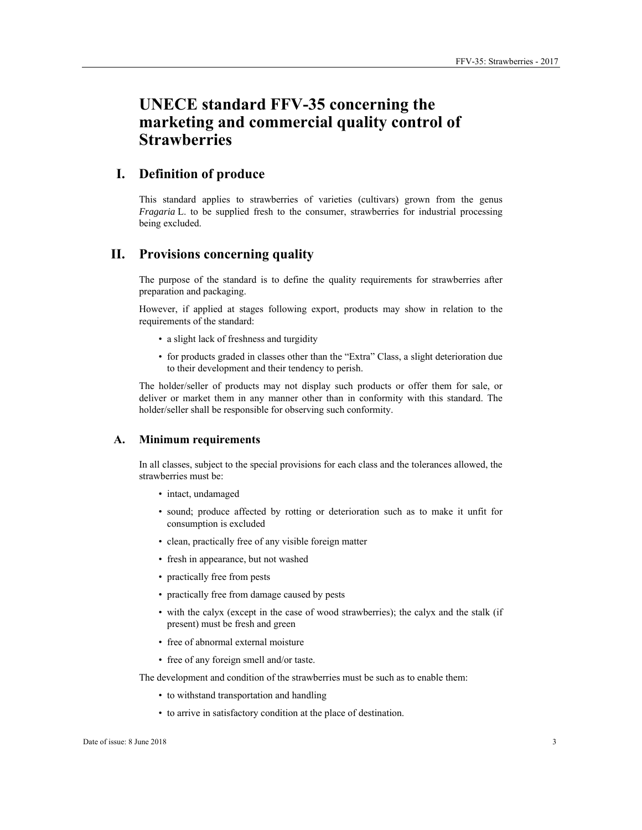# **UNECE standard FFV-35 concerning the marketing and commercial quality control of Strawberries**

# **I. Definition of produce**

This standard applies to strawberries of varieties (cultivars) grown from the genus *Fragaria* L. to be supplied fresh to the consumer, strawberries for industrial processing being excluded.

# **II. Provisions concerning quality**

The purpose of the standard is to define the quality requirements for strawberries after preparation and packaging.

However, if applied at stages following export, products may show in relation to the requirements of the standard:

- a slight lack of freshness and turgidity
- for products graded in classes other than the "Extra" Class, a slight deterioration due to their development and their tendency to perish.

The holder/seller of products may not display such products or offer them for sale, or deliver or market them in any manner other than in conformity with this standard. The holder/seller shall be responsible for observing such conformity.

#### **A. Minimum requirements**

In all classes, subject to the special provisions for each class and the tolerances allowed, the strawberries must be:

- intact, undamaged
- sound; produce affected by rotting or deterioration such as to make it unfit for consumption is excluded
- clean, practically free of any visible foreign matter
- fresh in appearance, but not washed
- practically free from pests
- practically free from damage caused by pests
- with the calyx (except in the case of wood strawberries); the calyx and the stalk (if present) must be fresh and green
- free of abnormal external moisture
- free of any foreign smell and/or taste.

The development and condition of the strawberries must be such as to enable them:

- to withstand transportation and handling
- to arrive in satisfactory condition at the place of destination.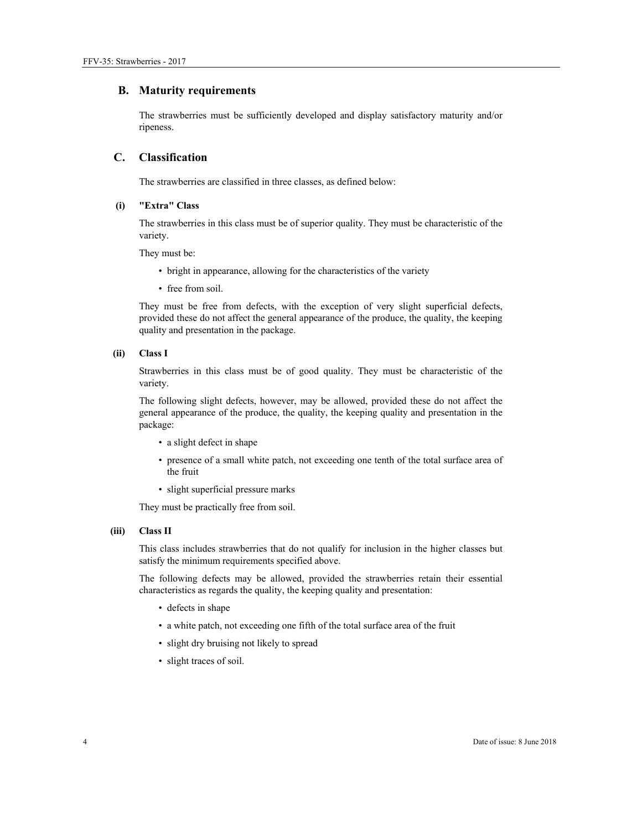#### **B. Maturity requirements**

The strawberries must be sufficiently developed and display satisfactory maturity and/or ripeness.

#### **C. Classification**

The strawberries are classified in three classes, as defined below:

#### **(i) "Extra" Class**

The strawberries in this class must be of superior quality. They must be characteristic of the variety.

They must be:

- bright in appearance, allowing for the characteristics of the variety
- free from soil.

They must be free from defects, with the exception of very slight superficial defects, provided these do not affect the general appearance of the produce, the quality, the keeping quality and presentation in the package.

#### **(ii) Class I**

Strawberries in this class must be of good quality. They must be characteristic of the variety.

The following slight defects, however, may be allowed, provided these do not affect the general appearance of the produce, the quality, the keeping quality and presentation in the package:

- a slight defect in shape
- presence of a small white patch, not exceeding one tenth of the total surface area of the fruit
- slight superficial pressure marks

They must be practically free from soil.

#### **(iii) Class II**

This class includes strawberries that do not qualify for inclusion in the higher classes but satisfy the minimum requirements specified above.

The following defects may be allowed, provided the strawberries retain their essential characteristics as regards the quality, the keeping quality and presentation:

- defects in shape
- a white patch, not exceeding one fifth of the total surface area of the fruit
- slight dry bruising not likely to spread
- slight traces of soil.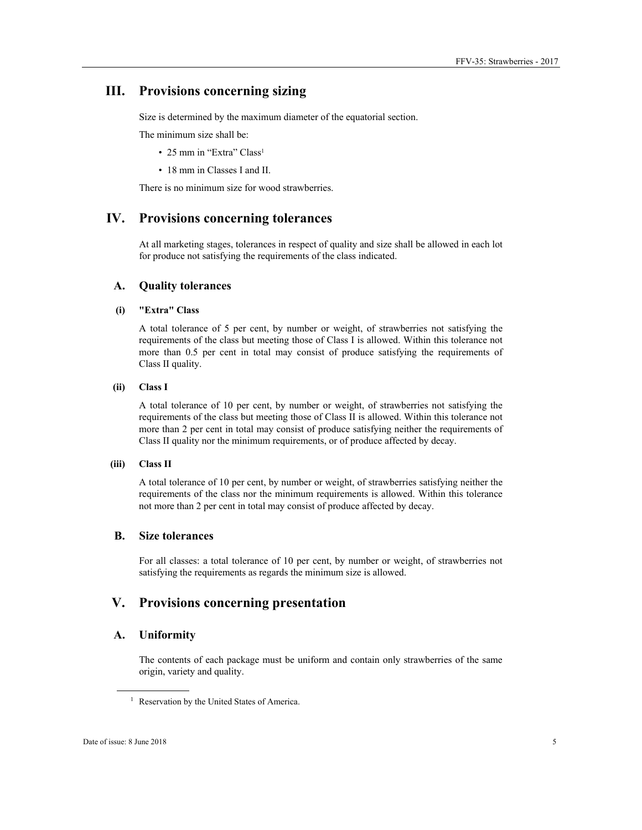## **III. Provisions concerning sizing**

Size is determined by the maximum diameter of the equatorial section.

The minimum size shall be:

- 25 mm in "Extra" Class<sup>1</sup>
- 18 mm in Classes I and II.

There is no minimum size for wood strawberries.

# **IV. Provisions concerning tolerances**

At all marketing stages, tolerances in respect of quality and size shall be allowed in each lot for produce not satisfying the requirements of the class indicated.

#### **A. Quality tolerances**

#### **(i) "Extra" Class**

A total tolerance of 5 per cent, by number or weight, of strawberries not satisfying the requirements of the class but meeting those of Class I is allowed. Within this tolerance not more than 0.5 per cent in total may consist of produce satisfying the requirements of Class II quality.

#### **(ii) Class I**

A total tolerance of 10 per cent, by number or weight, of strawberries not satisfying the requirements of the class but meeting those of Class II is allowed. Within this tolerance not more than 2 per cent in total may consist of produce satisfying neither the requirements of Class II quality nor the minimum requirements, or of produce affected by decay.

#### **(iii) Class II**

A total tolerance of 10 per cent, by number or weight, of strawberries satisfying neither the requirements of the class nor the minimum requirements is allowed. Within this tolerance not more than 2 per cent in total may consist of produce affected by decay.

#### **B. Size tolerances**

For all classes: a total tolerance of 10 per cent, by number or weight, of strawberries not satisfying the requirements as regards the minimum size is allowed.

### **V. Provisions concerning presentation**

#### **A. Uniformity**

The contents of each package must be uniform and contain only strawberries of the same origin, variety and quality.

 $\overline{a}$ 

<sup>&</sup>lt;sup>1</sup> Reservation by the United States of America.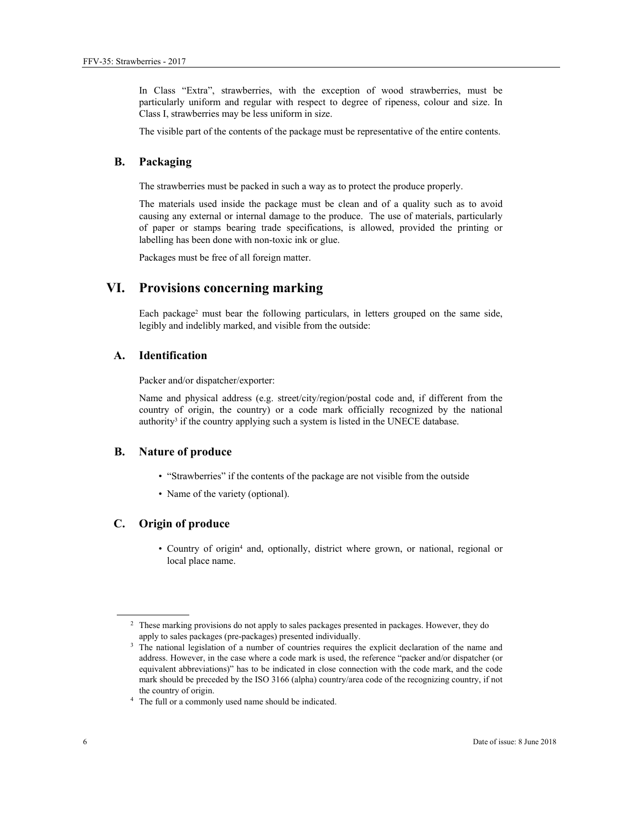In Class "Extra", strawberries, with the exception of wood strawberries, must be particularly uniform and regular with respect to degree of ripeness, colour and size. In Class I, strawberries may be less uniform in size.

The visible part of the contents of the package must be representative of the entire contents.

#### **B. Packaging**

The strawberries must be packed in such a way as to protect the produce properly.

The materials used inside the package must be clean and of a quality such as to avoid causing any external or internal damage to the produce. The use of materials, particularly of paper or stamps bearing trade specifications, is allowed, provided the printing or labelling has been done with non-toxic ink or glue.

Packages must be free of all foreign matter.

### **VI. Provisions concerning marking**

Each package2 must bear the following particulars, in letters grouped on the same side, legibly and indelibly marked, and visible from the outside:

#### **A. Identification**

Packer and/or dispatcher/exporter:

Name and physical address (e.g. street/city/region/postal code and, if different from the country of origin, the country) or a code mark officially recognized by the national authority<sup>3</sup> if the country applying such a system is listed in the UNECE database.

#### **B. Nature of produce**

- "Strawberries" if the contents of the package are not visible from the outside
- Name of the variety (optional).

#### **C. Origin of produce**

• Country of origin<sup>4</sup> and, optionally, district where grown, or national, regional or local place name.

 $\overline{a}$ 

<sup>&</sup>lt;sup>2</sup> These marking provisions do not apply to sales packages presented in packages. However, they do apply to sales packages (pre-packages) presented individually.<br><sup>3</sup> The national legislation of a number of countries requires the explicit declaration of the name and

address. However, in the case where a code mark is used, the reference "packer and/or dispatcher (or equivalent abbreviations)" has to be indicated in close connection with the code mark, and the code mark should be preceded by the ISO 3166 (alpha) country/area code of the recognizing country, if not the country of origin. 4 The full or a commonly used name should be indicated.